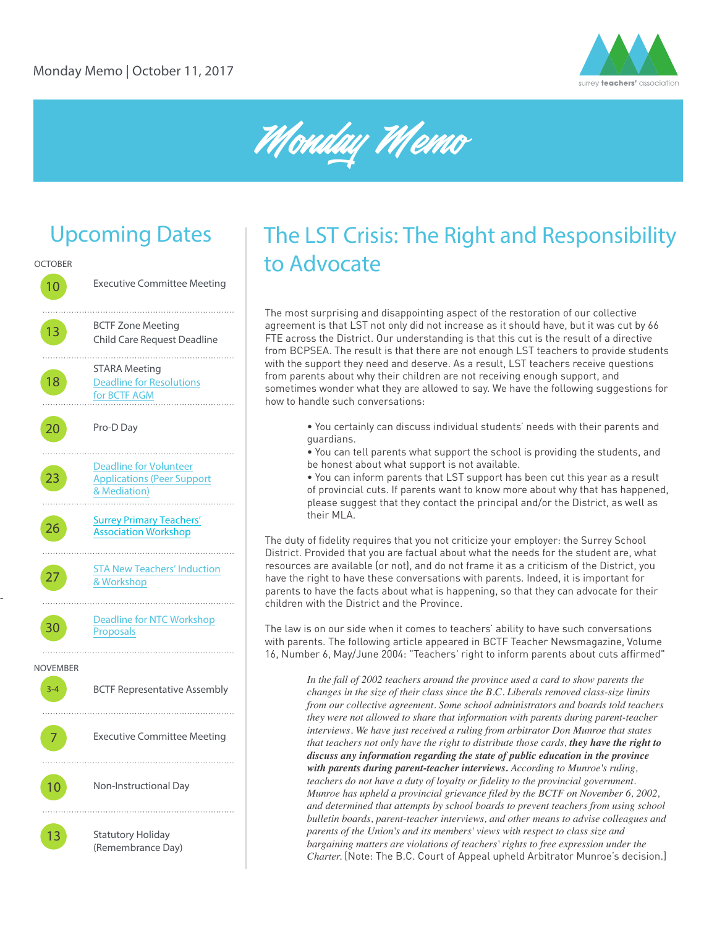



# Upcoming Dates



-

# The LST Crisis: The Right and Responsibility to Advocate

The most surprising and disappointing aspect of the restoration of our collective agreement is that LST not only did not increase as it should have, but it was cut by 66 FTE across the District. Our understanding is that this cut is the result of a directive from BCPSEA. The result is that there are not enough LST teachers to provide students with the support they need and deserve. As a result, LST teachers receive questions from parents about why their children are not receiving enough support, and sometimes wonder what they are allowed to say. We have the following suggestions for how to handle such conversations:

- You certainly can discuss individual students' needs with their parents and guardians.
- You can tell parents what support the school is providing the students, and be honest about what support is not available.
- You can inform parents that LST support has been cut this year as a result of provincial cuts. If parents want to know more about why that has happened, please suggest that they contact the principal and/or the District, as well as their MLA.

The duty of fidelity requires that you not criticize your employer: the Surrey School District. Provided that you are factual about what the needs for the student are, what resources are available (or not), and do not frame it as a criticism of the District, you have the right to have these conversations with parents. Indeed, it is important for parents to have the facts about what is happening, so that they can advocate for their children with the District and the Province.

The law is on our side when it comes to teachers' ability to have such conversations with parents. The following article appeared in BCTF Teacher Newsmagazine, Volume 16, Number 6, May/June 2004: "Teachers' right to inform parents about cuts affirmed"

> *In the fall of 2002 teachers around the province used a card to show parents the changes in the size of their class since the B.C. Liberals removed class-size limits from our collective agreement. Some school administrators and boards told teachers they were not allowed to share that information with parents during parent-teacher interviews. We have just received a ruling from arbitrator Don Munroe that states that teachers not only have the right to distribute those cards, they have the right to discuss any information regarding the state of public education in the province with parents during parent-teacher interviews. According to Munroe's ruling, teachers do not have a duty of loyalty or fidelity to the provincial government. Munroe has upheld a provincial grievance filed by the BCTF on November 6, 2002, and determined that attempts by school boards to prevent teachers from using school bulletin boards, parent-teacher interviews, and other means to advise colleagues and parents of the Union's and its members' views with respect to class size and bargaining matters are violations of teachers' rights to free expression under the Charter.* [Note: The B.C. Court of Appeal upheld Arbitrator Munroe's decision.]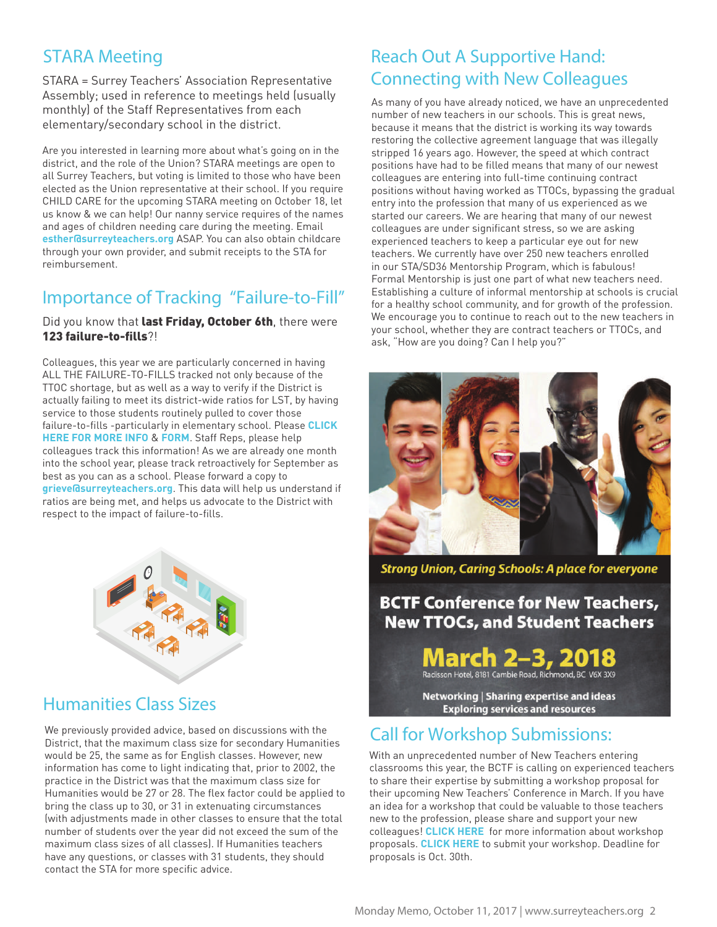## STARA Meeting

STARA = Surrey Teachers' Association Representative Assembly; used in reference to meetings held (usually monthly) of the Staff Representatives from each elementary/secondary school in the district.

Are you interested in learning more about what's going on in the district, and the role of the Union? STARA meetings are open to all Surrey Teachers, but voting is limited to those who have been elected as the Union representative at their school. If you require CHILD CARE for the upcoming STARA meeting on October 18, let us know & we can help! Our nanny service requires of the names and ages of children needing care during the meeting. Email **esther@surreyteachers.org** ASAP. You can also obtain childcare through your own provider, and submit receipts to the STA for reimbursement.

## Importance of Tracking "Failure-to-Fill"

Did you know that last Friday, October 6th, there were 123 failure-to-fills?!

Colleagues, this year we are particularly concerned in having ALL THE FAILURE-TO-FILLS tracked not only because of the TTOC shortage, but as well as a way to verify if the District is actually failing to meet its district-wide ratios for LST, by having service to those students routinely pulled to cover those failure-to-fills -particularly in elementary school. Please **[CLICK](http://www.surreyteachers.org/failure-to-fills-how-to-track-and-to-who/)  [HERE FOR MORE INFO](http://www.surreyteachers.org/failure-to-fills-how-to-track-and-to-who/)** & **[FORM](http://www.surreyteachers.org/wp-content/uploads/2017/10/Failure-to-Fill-Absence-Tracking-Sheet-2017.docx)**. Staff Reps, please help colleagues track this information! As we are already one month into the school year, please track retroactively for September as best as you can as a school. Please forward a copy to **grieve@surreyteachers.org**. This data will help us understand if ratios are being met, and helps us advocate to the District with respect to the impact of failure-to-fills.



### Humanities Class Sizes

We previously provided advice, based on discussions with the District, that the maximum class size for secondary Humanities would be 25, the same as for English classes. However, new information has come to light indicating that, prior to 2002, the practice in the District was that the maximum class size for Humanities would be 27 or 28. The flex factor could be applied to bring the class up to 30, or 31 in extenuating circumstances (with adjustments made in other classes to ensure that the total number of students over the year did not exceed the sum of the maximum class sizes of all classes). If Humanities teachers have any questions, or classes with 31 students, they should contact the STA for more specific advice.

## Reach Out A Supportive Hand: Connecting with New Colleagues

As many of you have already noticed, we have an unprecedented number of new teachers in our schools. This is great news, because it means that the district is working its way towards restoring the collective agreement language that was illegally stripped 16 years ago. However, the speed at which contract positions have had to be filled means that many of our newest colleagues are entering into full-time continuing contract positions without having worked as TTOCs, bypassing the gradual entry into the profession that many of us experienced as we started our careers. We are hearing that many of our newest colleagues are under significant stress, so we are asking experienced teachers to keep a particular eye out for new teachers. We currently have over 250 new teachers enrolled in our STA/SD36 Mentorship Program, which is fabulous! Formal Mentorship is just one part of what new teachers need. Establishing a culture of informal mentorship at schools is crucial for a healthy school community, and for growth of the profession. We encourage you to continue to reach out to the new teachers in your school, whether they are contract teachers or TTOCs, and ask, "How are you doing? Can I help you?"



**Strong Union, Caring Schools: A place for everyone** 

**BCTF Conference for New Teachers, New TTOCs, and Student Teachers** 

**March 2-3, 2018**<br>Radisson Hotel, 8181 Cambie Road, Richmond, BC V6X 3X9

Networking | Sharing expertise and ideas **Exploring services and resources** 

### Call for Workshop Submissions:

With an unprecedented number of New Teachers entering classrooms this year, the BCTF is calling on experienced teachers to share their expertise by submitting a workshop proposal for their upcoming New Teachers' Conference in March. If you have an idea for a workshop that could be valuable to those teachers new to the profession, please share and support your new colleagues! **[CLICK HERE](http://bit.ly/2xniDrp)** for more information about workshop proposals. **[CLICK HERE](http://www.bctf.ca/forms/ntc.aspx?ekfrm=46471)** to submit your workshop. Deadline for proposals is Oct. 30th.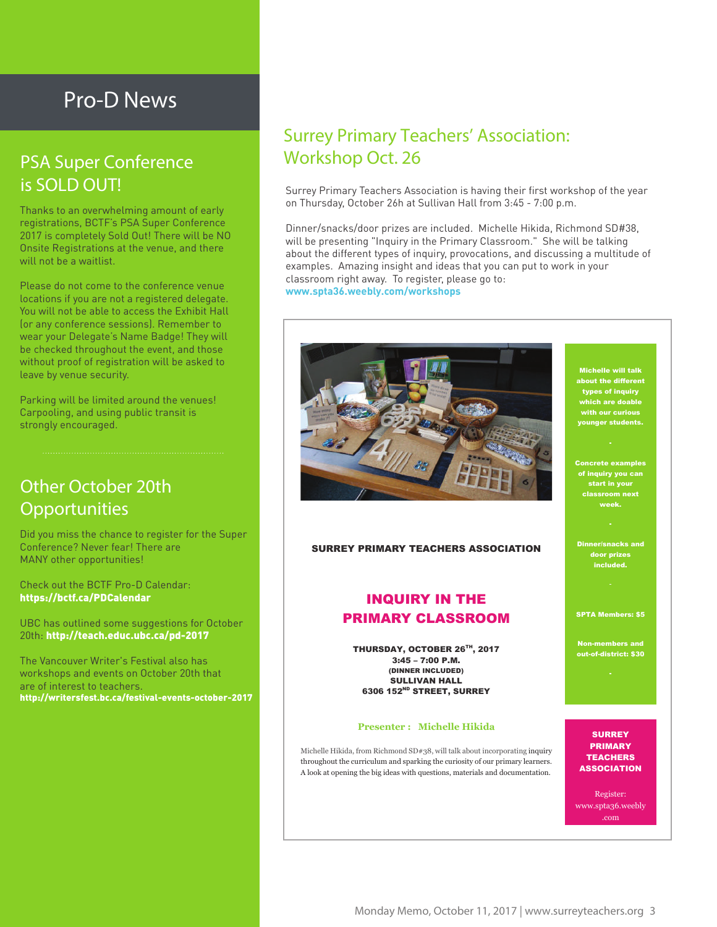## Pro-D News

## PSA Super Conference is SOLD OUT!

Thanks to an overwhelming amount of early registrations, BCTF's PSA Super Conference 2017 is completely Sold Out! There will be NO Onsite Registrations at the venue, and there will not be a waitlist.

Please do not come to the conference venue locations if you are not a registered delegate. You will not be able to access the Exhibit Hall (or any conference sessions). Remember to wear your Delegate's Name Badge! They will be checked throughout the event, and those without proof of registration will be asked to leave by venue security.

Parking will be limited around the venues! Carpooling, and using public transit is strongly encouraged.

## Other October 20th **Opportunities**

Did you miss the chance to register for the Super Conference? Never fear! There are MANY other opportunities!

Check out the BCTF Pro-D Calendar: https://bctf.ca/PDCalendar

UBC has outlined some suggestions for October 20th: http://teach.educ.ubc.ca/pd-2017

The Vancouver Writer's Festival also has workshops and events on October 20th that are of interest to teachers. http://writersfest.bc.ca/festival-events-october-2017

## Surrey Primary Teachers' Association: Workshop Oct. 26

Surrey Primary Teachers Association is having their first workshop of the year on Thursday, October 26h at Sullivan Hall from 3:45 - 7:00 p.m.

Dinner/snacks/door prizes are included. Michelle Hikida, Richmond SD#38, will be presenting "Inquiry in the Primary Classroom." She will be talking about the different types of inquiry, provocations, and discussing a multitude of examples. Amazing insight and ideas that you can put to work in your classroom right away. To register, please go to: **www.spta36.weebly.com/workshops**



SURREY PRIMARY TEACHERS ASSOCIATION

#### INQUIRY IN THE PRIMARY CLASSROOM

THURSDAY, OCTOBER 26TH, 2017 3:45 – 7:00 P.M. (DINNER INCLUDED) SULLIVAN HALL 6306 152ND STREET, SURREY

#### **Presenter : Michelle Hikida**

Michelle Hikida, from Richmond SD#38, will talk about incorporating inquiry throughout the curriculum and sparking the curiosity of our primary learners. A look at opening the big ideas with questions, materials and documentation.

Michelle will talk about the different types of inquiry ch are doabl<mark>e</mark> with our curious **ounger students.** 

Concrete examples of inquiry you can start in your week.

Dinner/snacks and door prizes included.

SPTA Members: \$5

Non-members and out-of-district: \$30

**SURREY** PRIMARY **TEACHERS ASSOCIATION** 

Register: www.spta36.weebly .com